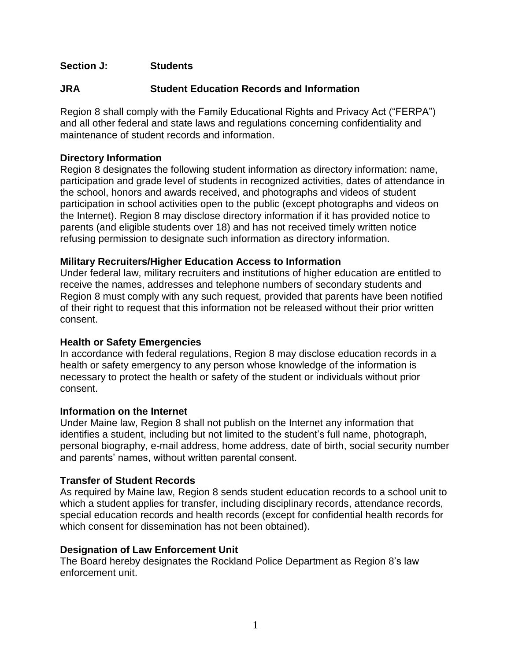# **Section J: Students**

# **JRA Student Education Records and Information**

Region 8 shall comply with the Family Educational Rights and Privacy Act ("FERPA") and all other federal and state laws and regulations concerning confidentiality and maintenance of student records and information.

## **Directory Information**

Region 8 designates the following student information as directory information: name, participation and grade level of students in recognized activities, dates of attendance in the school, honors and awards received, and photographs and videos of student participation in school activities open to the public (except photographs and videos on the Internet). Region 8 may disclose directory information if it has provided notice to parents (and eligible students over 18) and has not received timely written notice refusing permission to designate such information as directory information.

### **Military Recruiters/Higher Education Access to Information**

Under federal law, military recruiters and institutions of higher education are entitled to receive the names, addresses and telephone numbers of secondary students and Region 8 must comply with any such request, provided that parents have been notified of their right to request that this information not be released without their prior written consent.

# **Health or Safety Emergencies**

In accordance with federal regulations, Region 8 may disclose education records in a health or safety emergency to any person whose knowledge of the information is necessary to protect the health or safety of the student or individuals without prior consent.

#### **Information on the Internet**

Under Maine law, Region 8 shall not publish on the Internet any information that identifies a student, including but not limited to the student's full name, photograph, personal biography, e-mail address, home address, date of birth, social security number and parents' names, without written parental consent.

#### **Transfer of Student Records**

As required by Maine law, Region 8 sends student education records to a school unit to which a student applies for transfer, including disciplinary records, attendance records, special education records and health records (except for confidential health records for which consent for dissemination has not been obtained).

# **Designation of Law Enforcement Unit**

The Board hereby designates the Rockland Police Department as Region 8's law enforcement unit.